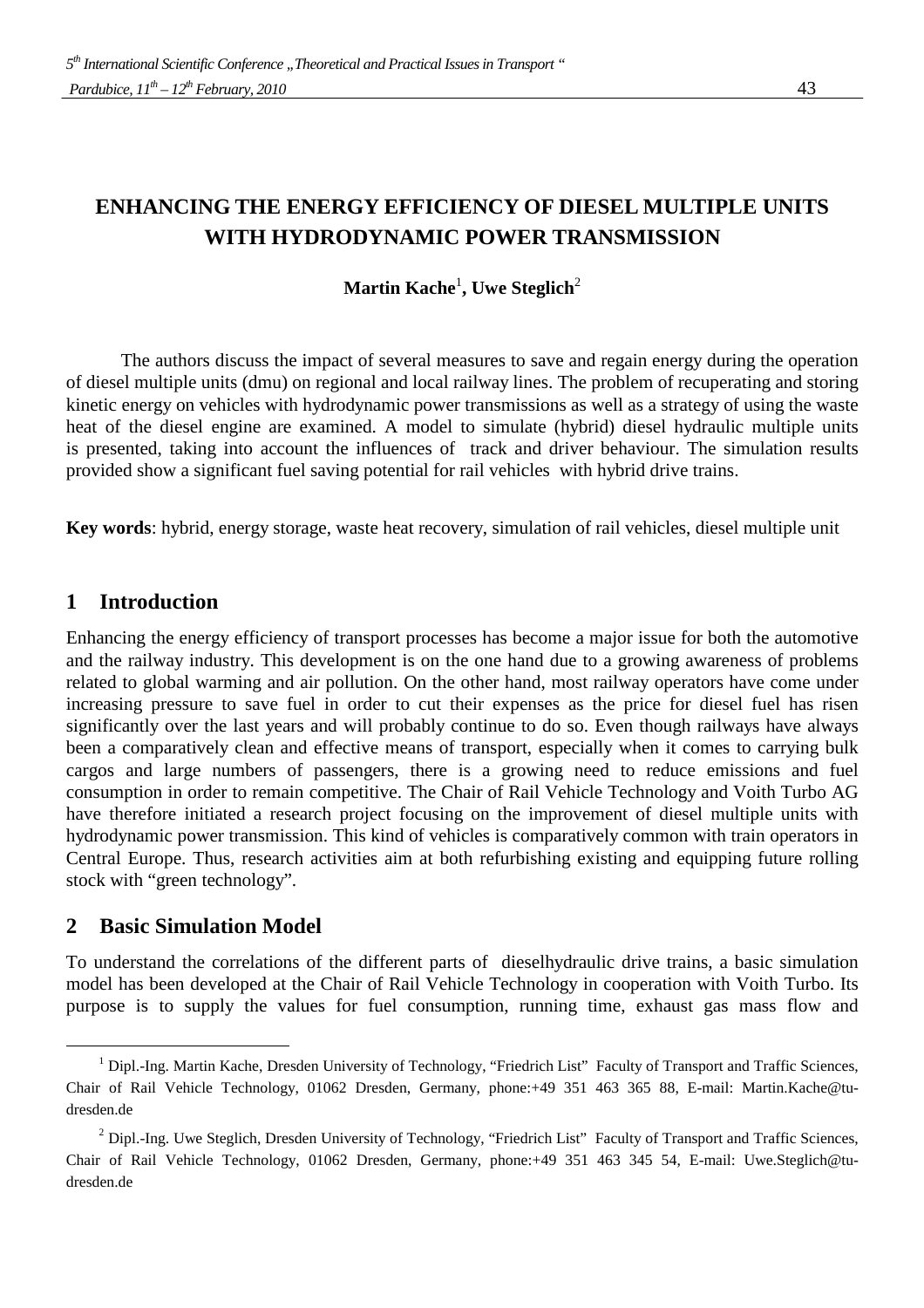# **ENHANCING THE ENERGY EFFICIENCY OF DIESEL MULTIPLE UNITS WITH HYDRODYNAMIC POWER TRANSMISSION**

### $\mathbf{Martin~Kache}^{1}, \mathbf{Uwe~Steglich}^{2}$

The authors discuss the impact of several measures to save and regain energy during the operation of diesel multiple units (dmu) on regional and local railway lines. The problem of recuperating and storing kinetic energy on vehicles with hydrodynamic power transmissions as well as a strategy of using the waste heat of the diesel engine are examined. A model to simulate (hybrid) diesel hydraulic multiple units is presented, taking into account the influences of track and driver behaviour. The simulation results provided show a significant fuel saving potential for rail vehicles with hybrid drive trains.

**Key words**: hybrid, energy storage, waste heat recovery, simulation of rail vehicles, diesel multiple unit

## **1 Introduction**

Enhancing the energy efficiency of transport processes has become a major issue for both the automotive and the railway industry. This development is on the one hand due to a growing awareness of problems related to global warming and air pollution. On the other hand, most railway operators have come under increasing pressure to save fuel in order to cut their expenses as the price for diesel fuel has risen significantly over the last years and will probably continue to do so. Even though railways have always been a comparatively clean and effective means of transport, especially when it comes to carrying bulk cargos and large numbers of passengers, there is a growing need to reduce emissions and fuel consumption in order to remain competitive. The Chair of Rail Vehicle Technology and Voith Turbo AG have therefore initiated a research project focusing on the improvement of diesel multiple units with hydrodynamic power transmission. This kind of vehicles is comparatively common with train operators in Central Europe. Thus, research activities aim at both refurbishing existing and equipping future rolling stock with "green technology".

### **2 Basic Simulation Model**

-

To understand the correlations of the different parts of dieselhydraulic drive trains, a basic simulation model has been developed at the Chair of Rail Vehicle Technology in cooperation with Voith Turbo. Its purpose is to supply the values for fuel consumption, running time, exhaust gas mass flow and

<sup>&</sup>lt;sup>1</sup> Dipl.-Ing. Martin Kache, Dresden University of Technology, "Friedrich List" Faculty of Transport and Traffic Sciences, Chair of Rail Vehicle Technology, 01062 Dresden, Germany, phone:+49 351 463 365 88, E-mail: Martin.Kache@tudresden.de

 $2$  Dipl.-Ing. Uwe Steglich, Dresden University of Technology, "Friedrich List" Faculty of Transport and Traffic Sciences, Chair of Rail Vehicle Technology, 01062 Dresden, Germany, phone:+49 351 463 345 54, E-mail: Uwe.Steglich@tudresden.de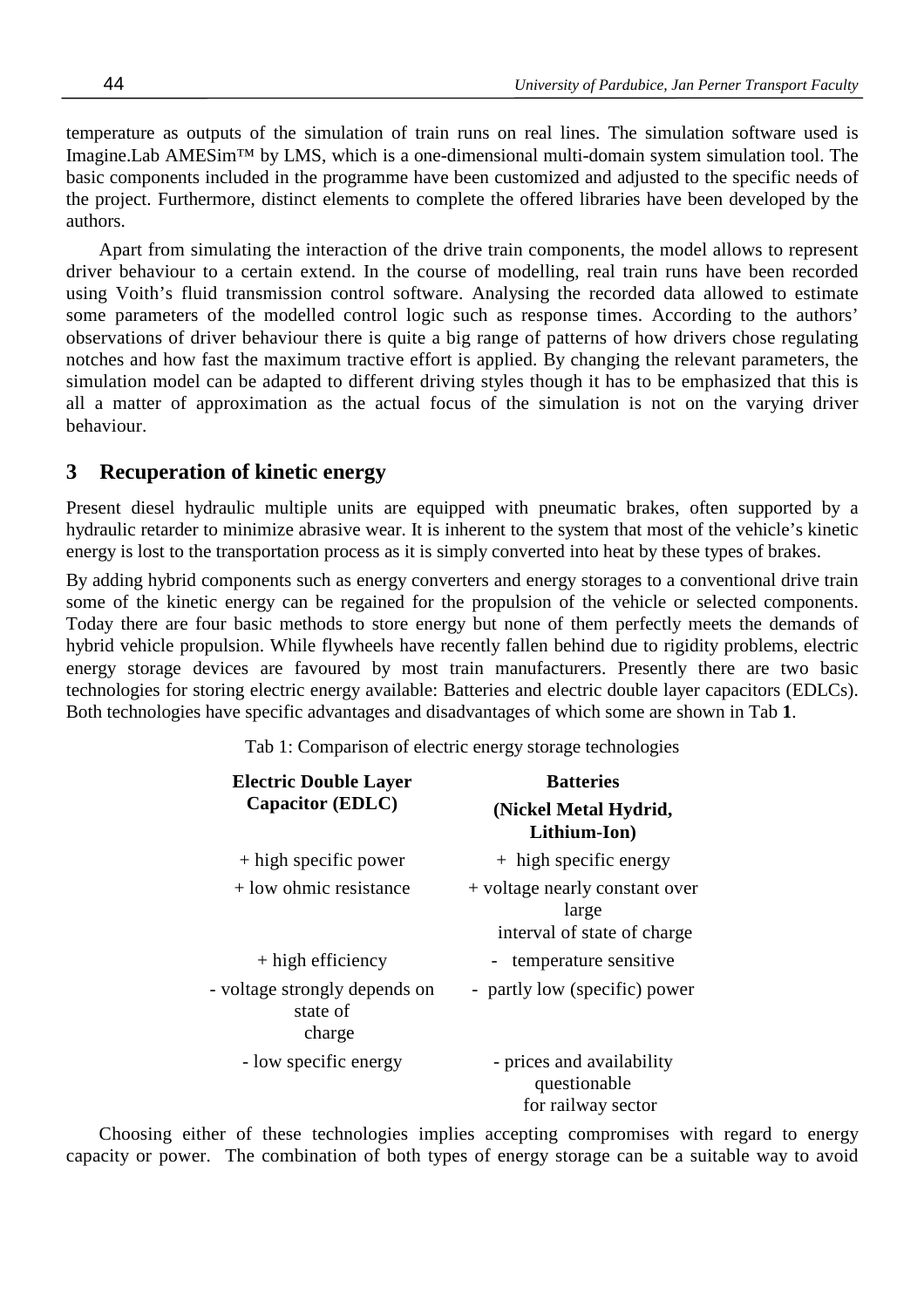temperature as outputs of the simulation of train runs on real lines. The simulation software used is Imagine.Lab AMESim™ by LMS, which is a one-dimensional multi-domain system simulation tool. The basic components included in the programme have been customized and adjusted to the specific needs of the project. Furthermore, distinct elements to complete the offered libraries have been developed by the authors.

Apart from simulating the interaction of the drive train components, the model allows to represent driver behaviour to a certain extend. In the course of modelling, real train runs have been recorded using Voith's fluid transmission control software. Analysing the recorded data allowed to estimate some parameters of the modelled control logic such as response times. According to the authors' observations of driver behaviour there is quite a big range of patterns of how drivers chose regulating notches and how fast the maximum tractive effort is applied. By changing the relevant parameters, the simulation model can be adapted to different driving styles though it has to be emphasized that this is all a matter of approximation as the actual focus of the simulation is not on the varying driver behaviour.

#### **3 Recuperation of kinetic energy**

Present diesel hydraulic multiple units are equipped with pneumatic brakes, often supported by a hydraulic retarder to minimize abrasive wear. It is inherent to the system that most of the vehicle's kinetic energy is lost to the transportation process as it is simply converted into heat by these types of brakes.

By adding hybrid components such as energy converters and energy storages to a conventional drive train some of the kinetic energy can be regained for the propulsion of the vehicle or selected components. Today there are four basic methods to store energy but none of them perfectly meets the demands of hybrid vehicle propulsion. While flywheels have recently fallen behind due to rigidity problems, electric energy storage devices are favoured by most train manufacturers. Presently there are two basic technologies for storing electric energy available: Batteries and electric double layer capacitors (EDLCs). Both technologies have specific advantages and disadvantages of which some are shown in Tab **1**.

Tab 1: Comparison of electric energy storage technologies

| <b>Electric Double Layer</b><br>Capacitor (EDLC)    | <b>Batteries</b><br>(Nickel Metal Hydrid,<br>Lithium-Ion)              |  |  |  |
|-----------------------------------------------------|------------------------------------------------------------------------|--|--|--|
| + high specific power                               | + high specific energy                                                 |  |  |  |
| $+$ low ohmic resistance                            | + voltage nearly constant over<br>large<br>interval of state of charge |  |  |  |
| $+$ high efficiency                                 | - temperature sensitive                                                |  |  |  |
| - voltage strongly depends on<br>state of<br>charge | - partly low (specific) power                                          |  |  |  |
| - low specific energy                               | - prices and availability<br>questionable<br>for railway sector        |  |  |  |

Choosing either of these technologies implies accepting compromises with regard to energy capacity or power. The combination of both types of energy storage can be a suitable way to avoid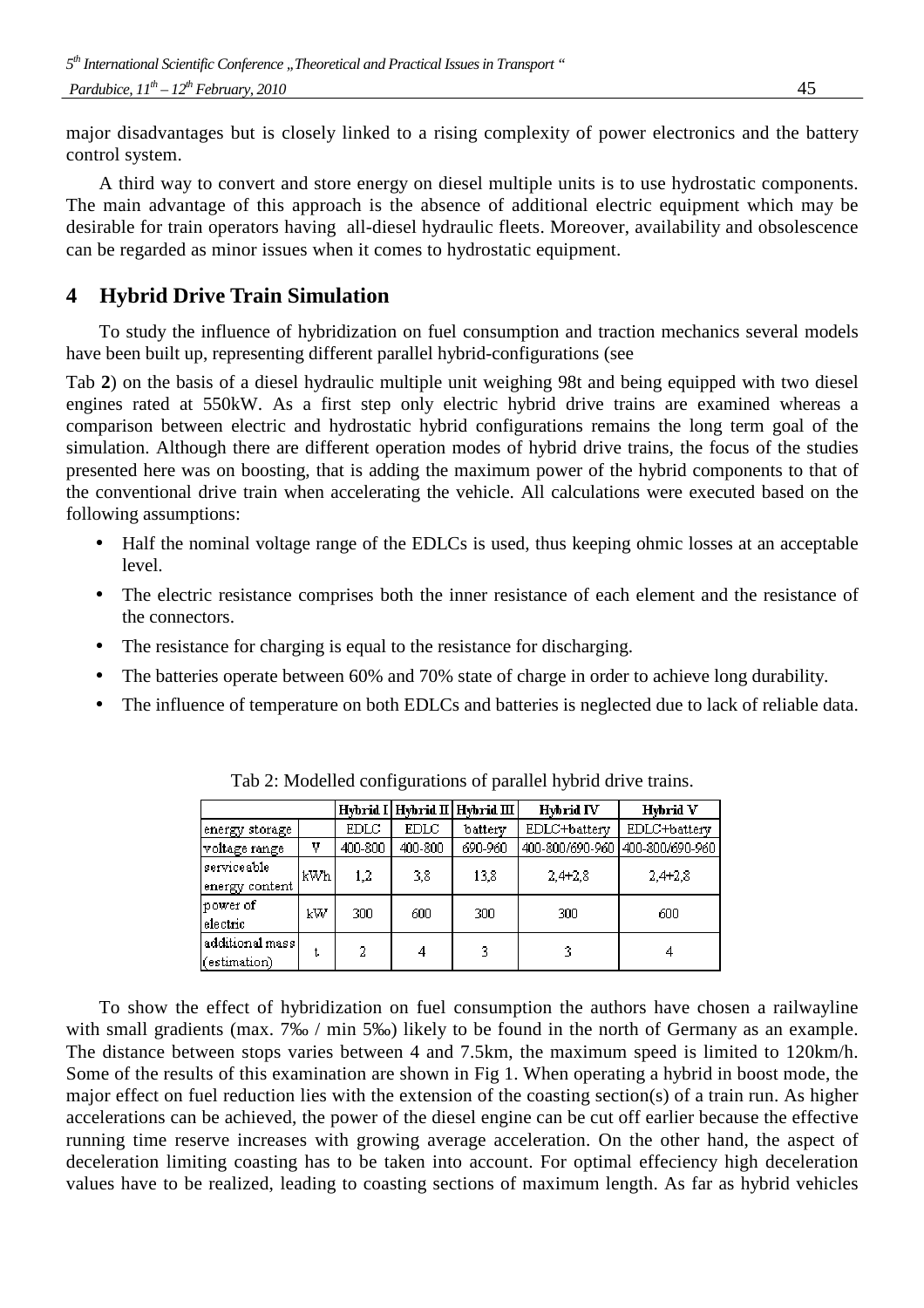major disadvantages but is closely linked to a rising complexity of power electronics and the battery control system.

A third way to convert and store energy on diesel multiple units is to use hydrostatic components. The main advantage of this approach is the absence of additional electric equipment which may be desirable for train operators having all-diesel hydraulic fleets. Moreover, availability and obsolescence can be regarded as minor issues when it comes to hydrostatic equipment.

## **4 Hybrid Drive Train Simulation**

To study the influence of hybridization on fuel consumption and traction mechanics several models have been built up, representing different parallel hybrid-configurations (see

Tab **2**) on the basis of a diesel hydraulic multiple unit weighing 98t and being equipped with two diesel engines rated at 550kW. As a first step only electric hybrid drive trains are examined whereas a comparison between electric and hydrostatic hybrid configurations remains the long term goal of the simulation. Although there are different operation modes of hybrid drive trains, the focus of the studies presented here was on boosting, that is adding the maximum power of the hybrid components to that of the conventional drive train when accelerating the vehicle. All calculations were executed based on the following assumptions:

- Half the nominal voltage range of the EDLCs is used, thus keeping ohmic losses at an acceptable level.
- The electric resistance comprises both the inner resistance of each element and the resistance of the connectors.
- The resistance for charging is equal to the resistance for discharging.
- The batteries operate between 60% and 70% state of charge in order to achieve long durability.
- The influence of temperature on both EDLCs and batteries is neglected due to lack of reliable data.

|                                  |     | Hybrid I    | Hybrid II | Hybrid III | Hybrid IV       | Hybrid V        |
|----------------------------------|-----|-------------|-----------|------------|-----------------|-----------------|
| energy storage                   |     | <b>EDLC</b> | EDLC      | battery    | EDLC+battery    | EDLC+battery    |
| voltage range                    | V   | 400-800     | 400-800   | 690-960    | 400-800/690-960 | 400-800/690-960 |
| serviceable<br>energy content    | kWh | 1,2         | 3,8       | 13,8       | $2.4 + 2.8$     | $2,4+2,8$       |
| power of<br>electric             | kW  | 300         | 600       | 300        | 300             | 600             |
| additional mass]<br>(estimation) | t   | 2           | 4         | 3          | 3               | 4               |

Tab 2: Modelled configurations of parallel hybrid drive trains.

To show the effect of hybridization on fuel consumption the authors have chosen a railwayline with small gradients (max. 7‰ / min 5‰) likely to be found in the north of Germany as an example. The distance between stops varies between 4 and 7.5km, the maximum speed is limited to 120km/h. Some of the results of this examination are shown in Fig 1. When operating a hybrid in boost mode, the major effect on fuel reduction lies with the extension of the coasting section(s) of a train run. As higher accelerations can be achieved, the power of the diesel engine can be cut off earlier because the effective running time reserve increases with growing average acceleration. On the other hand, the aspect of deceleration limiting coasting has to be taken into account. For optimal effeciency high deceleration values have to be realized, leading to coasting sections of maximum length. As far as hybrid vehicles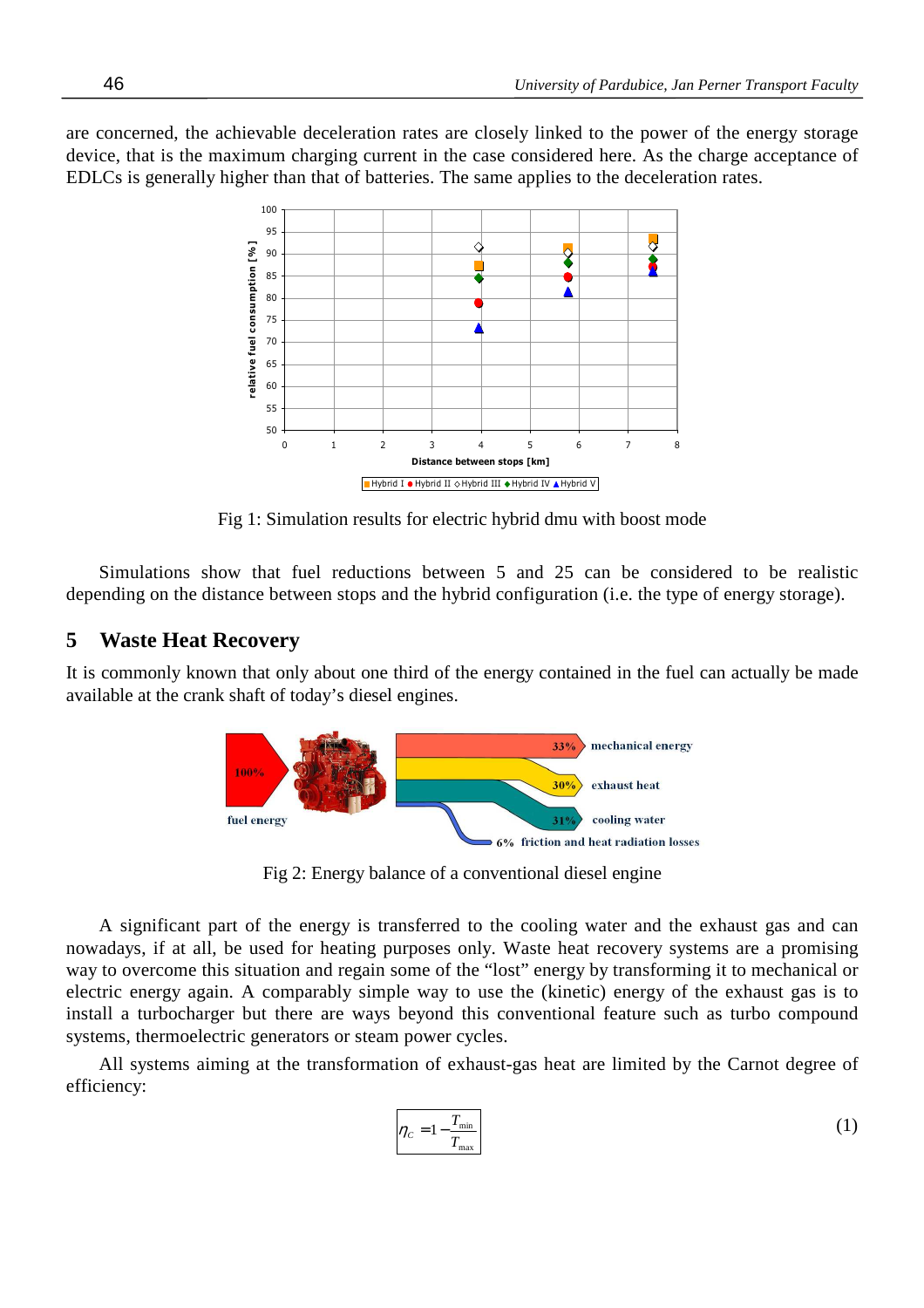are concerned, the achievable deceleration rates are closely linked to the power of the energy storage device, that is the maximum charging current in the case considered here. As the charge acceptance of EDLCs is generally higher than that of batteries. The same applies to the deceleration rates.



Fig 1: Simulation results for electric hybrid dmu with boost mode

Simulations show that fuel reductions between 5 and 25 can be considered to be realistic depending on the distance between stops and the hybrid configuration (i.e. the type of energy storage).

### **5 Waste Heat Recovery**

It is commonly known that only about one third of the energy contained in the fuel can actually be made available at the crank shaft of today's diesel engines.



Fig 2: Energy balance of a conventional diesel engine

A significant part of the energy is transferred to the cooling water and the exhaust gas and can nowadays, if at all, be used for heating purposes only. Waste heat recovery systems are a promising way to overcome this situation and regain some of the "lost" energy by transforming it to mechanical or electric energy again. A comparably simple way to use the (kinetic) energy of the exhaust gas is to install a turbocharger but there are ways beyond this conventional feature such as turbo compound systems, thermoelectric generators or steam power cycles.

All systems aiming at the transformation of exhaust-gas heat are limited by the Carnot degree of efficiency:

$$
\eta_c = 1 - \frac{T_{\text{min}}}{T_{\text{max}}} \tag{1}
$$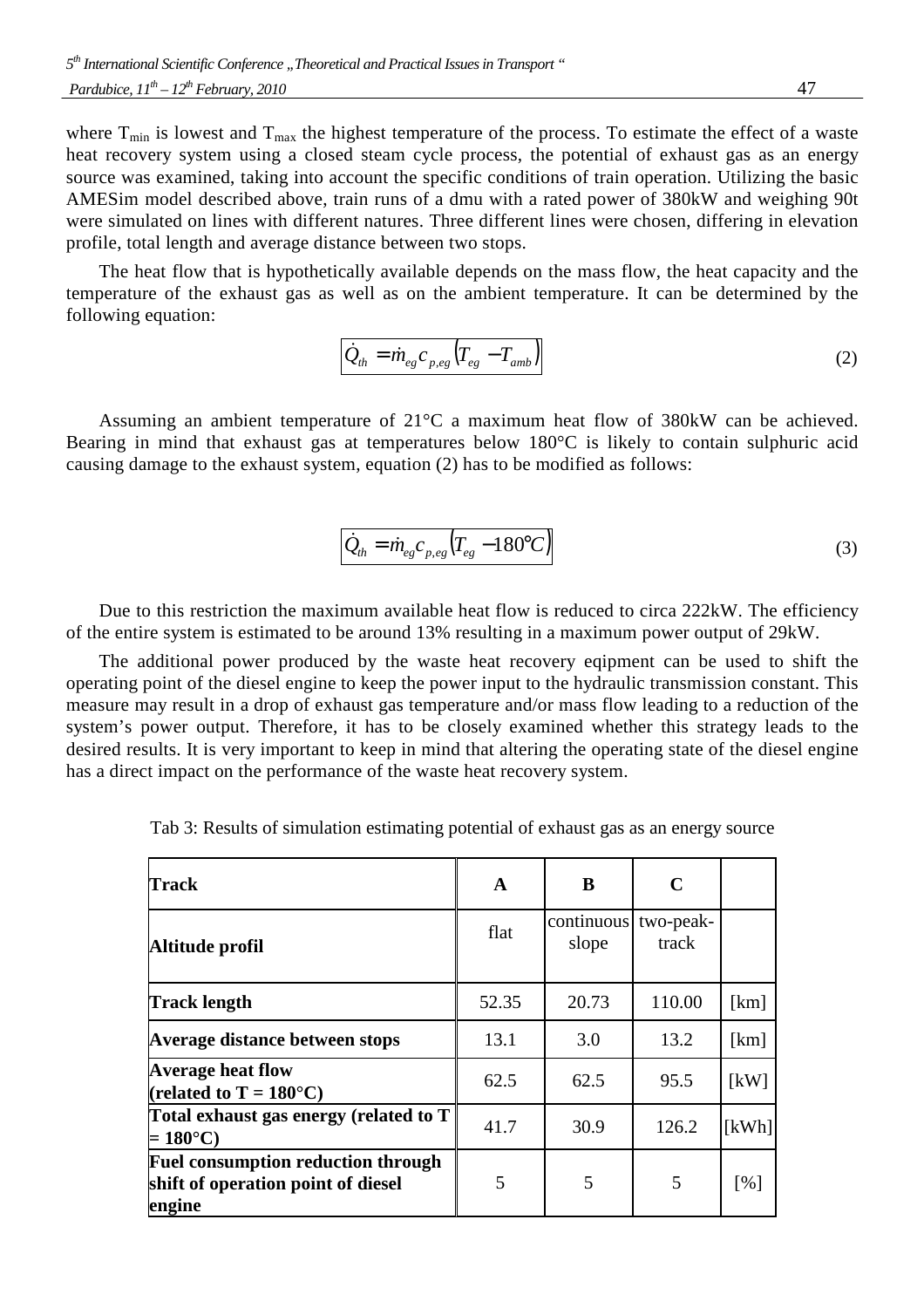where  $T_{min}$  is lowest and  $T_{max}$  the highest temperature of the process. To estimate the effect of a waste heat recovery system using a closed steam cycle process, the potential of exhaust gas as an energy source was examined, taking into account the specific conditions of train operation. Utilizing the basic AMESim model described above, train runs of a dmu with a rated power of 380kW and weighing 90t were simulated on lines with different natures. Three different lines were chosen, differing in elevation profile, total length and average distance between two stops.

The heat flow that is hypothetically available depends on the mass flow, the heat capacity and the temperature of the exhaust gas as well as on the ambient temperature. It can be determined by the following equation:

$$
\dot{Q}_{th} = \dot{m}_{eg} c_{p,eg} \left( T_{eg} - T_{amb} \right) \tag{2}
$$

Assuming an ambient temperature of 21°C a maximum heat flow of 380kW can be achieved. Bearing in mind that exhaust gas at temperatures below 180°C is likely to contain sulphuric acid causing damage to the exhaust system, equation (2) has to be modified as follows:

$$
\dot{Q}_{th} = \dot{m}_{eg} c_{p,eg} \left( T_{eg} - 180^{\circ} C \right) \tag{3}
$$

Due to this restriction the maximum available heat flow is reduced to circa 222kW. The efficiency of the entire system is estimated to be around 13% resulting in a maximum power output of 29kW.

The additional power produced by the waste heat recovery eqipment can be used to shift the operating point of the diesel engine to keep the power input to the hydraulic transmission constant. This measure may result in a drop of exhaust gas temperature and/or mass flow leading to a reduction of the system's power output. Therefore, it has to be closely examined whether this strategy leads to the desired results. It is very important to keep in mind that altering the operating state of the diesel engine has a direct impact on the performance of the waste heat recovery system.

| <b>Track</b>                                                                              | A     | B                   | C                  |       |
|-------------------------------------------------------------------------------------------|-------|---------------------|--------------------|-------|
| Altitude profil                                                                           | flat  | continuous<br>slope | two-peak-<br>track |       |
| Track length                                                                              | 52.35 | 20.73               | 110.00             | [km]  |
| Average distance between stops                                                            | 13.1  | 3.0                 | 13.2               | [km]  |
| <b>Average heat flow</b><br>(related to $T = 180^{\circ}$ C)                              | 62.5  | 62.5                | 95.5               | [kW]  |
| Total exhaust gas energy (related to T)<br>$=180^{\circ}$ C)                              | 41.7  | 30.9                | 126.2              | [kWh] |
| <b>Fuel consumption reduction through</b><br>shift of operation point of diesel<br>engine | 5     | 5                   | 5                  | [%]   |

Tab 3: Results of simulation estimating potential of exhaust gas as an energy source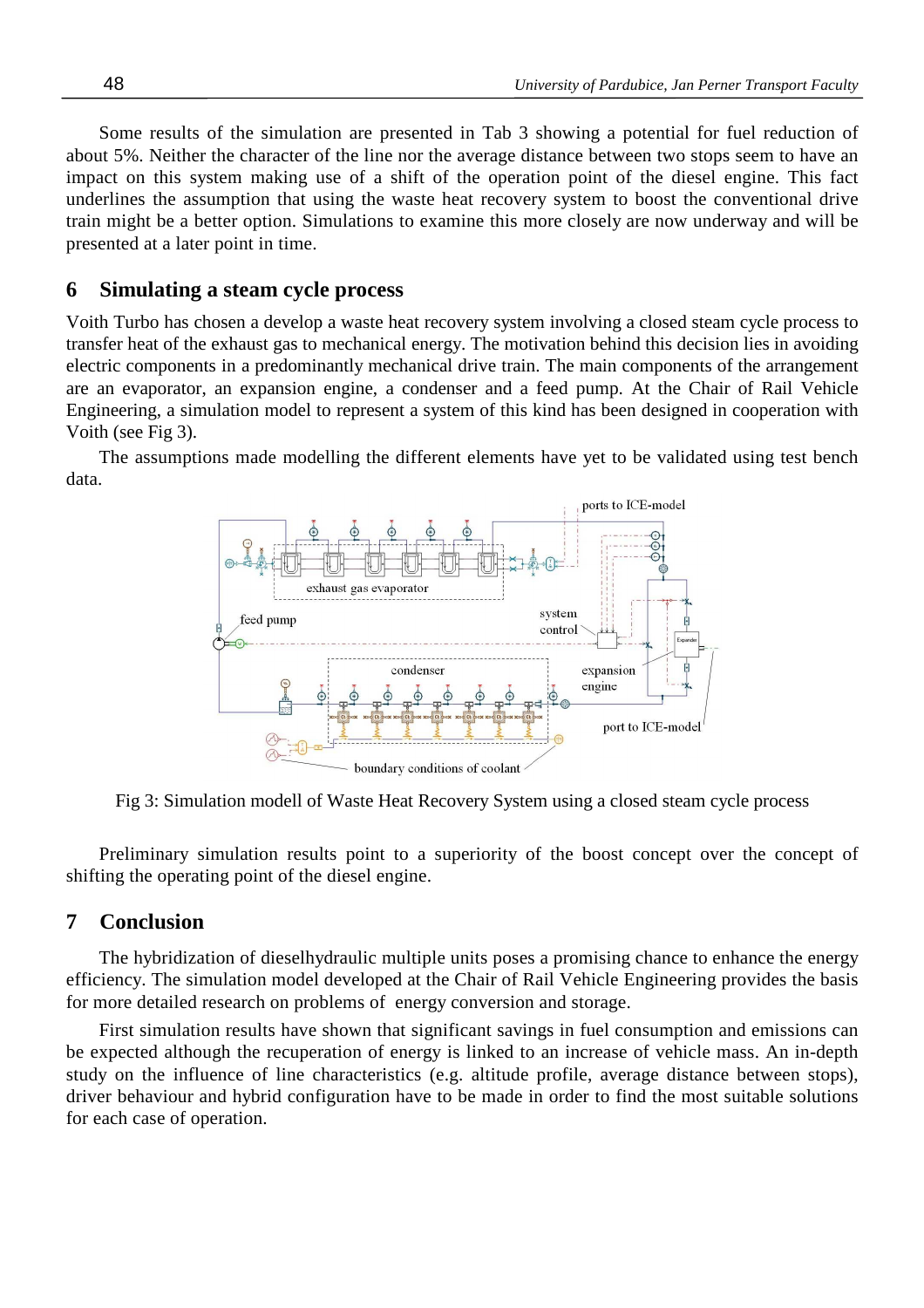Some results of the simulation are presented in Tab 3 showing a potential for fuel reduction of about 5%. Neither the character of the line nor the average distance between two stops seem to have an impact on this system making use of a shift of the operation point of the diesel engine. This fact underlines the assumption that using the waste heat recovery system to boost the conventional drive train might be a better option. Simulations to examine this more closely are now underway and will be presented at a later point in time.

### **6 Simulating a steam cycle process**

Voith Turbo has chosen a develop a waste heat recovery system involving a closed steam cycle process to transfer heat of the exhaust gas to mechanical energy. The motivation behind this decision lies in avoiding electric components in a predominantly mechanical drive train. The main components of the arrangement are an evaporator, an expansion engine, a condenser and a feed pump. At the Chair of Rail Vehicle Engineering, a simulation model to represent a system of this kind has been designed in cooperation with Voith (see Fig 3).

The assumptions made modelling the different elements have yet to be validated using test bench data.



Fig 3: Simulation modell of Waste Heat Recovery System using a closed steam cycle process

Preliminary simulation results point to a superiority of the boost concept over the concept of shifting the operating point of the diesel engine.

#### **7 Conclusion**

The hybridization of dieselhydraulic multiple units poses a promising chance to enhance the energy efficiency. The simulation model developed at the Chair of Rail Vehicle Engineering provides the basis for more detailed research on problems of energy conversion and storage.

First simulation results have shown that significant savings in fuel consumption and emissions can be expected although the recuperation of energy is linked to an increase of vehicle mass. An in-depth study on the influence of line characteristics (e.g. altitude profile, average distance between stops), driver behaviour and hybrid configuration have to be made in order to find the most suitable solutions for each case of operation.